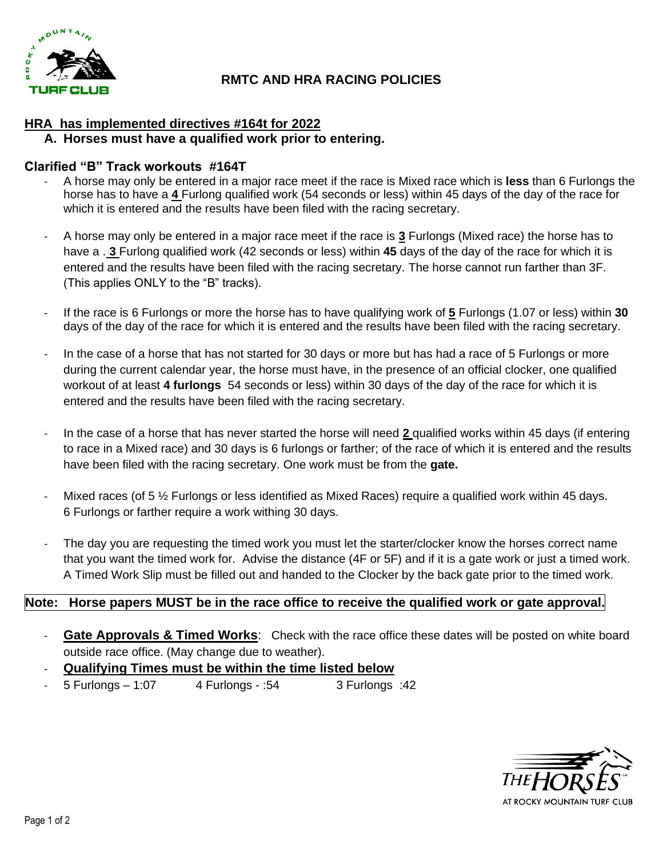

# **RMTC AND HRA RACING POLICIES**

## **HRA has implemented directives #164t for 2022**

#### **A. Horses must have a qualified work prior to entering.**

#### **Clarified "B" Track workouts #164T**

- A horse may only be entered in a major race meet if the race is Mixed race which is **less** than 6 Furlongs the horse has to have a **4** Furlong qualified work (54 seconds or less) within 45 days of the day of the race for which it is entered and the results have been filed with the racing secretary.
- A horse may only be entered in a major race meet if the race is **3** Furlongs (Mixed race) the horse has to have a . **3** Furlong qualified work (42 seconds or less) within **45** days of the day of the race for which it is entered and the results have been filed with the racing secretary. The horse cannot run farther than 3F. (This applies ONLY to the "B" tracks).
- If the race is 6 Furlongs or more the horse has to have qualifying work of **5** Furlongs (1.07 or less) within **30**  days of the day of the race for which it is entered and the results have been filed with the racing secretary.
- In the case of a horse that has not started for 30 days or more but has had a race of 5 Furlongs or more during the current calendar year, the horse must have, in the presence of an official clocker, one qualified workout of at least **4 furlongs** 54 seconds or less) within 30 days of the day of the race for which it is entered and the results have been filed with the racing secretary.
- In the case of a horse that has never started the horse will need **2** qualified works within 45 days (if entering to race in a Mixed race) and 30 days is 6 furlongs or farther; of the race of which it is entered and the results have been filed with the racing secretary. One work must be from the **gate.**
- Mixed races (of 5  $\frac{1}{2}$  Furlongs or less identified as Mixed Races) require a qualified work within 45 days. 6 Furlongs or farther require a work withing 30 days.
- The day you are requesting the timed work you must let the starter/clocker know the horses correct name that you want the timed work for. Advise the distance (4F or 5F) and if it is a gate work or just a timed work. A Timed Work Slip must be filled out and handed to the Clocker by the back gate prior to the timed work.

#### **Note: Horse papers MUST be in the race office to receive the qualified work or gate approval.**

- **Gate Approvals & Timed Works:** Check with the race office these dates will be posted on white board outside race office. (May change due to weather).
- **Qualifying Times must be within the time listed below**
- 5 Furlongs 1:07 4 Furlongs :54 3 Furlongs :42